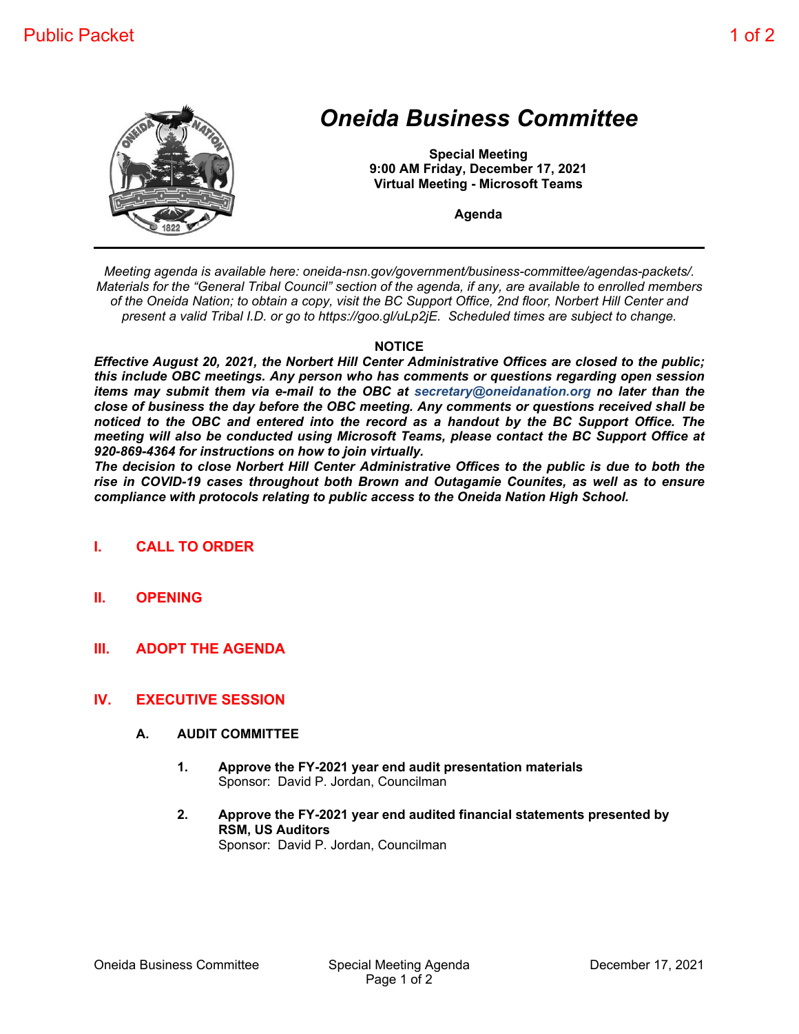

## *Oneida Business Committee*

**Special Meeting 9:00 AM Friday, December 17, 2021 Virtual Meeting - Microsoft Teams**

**Agenda**

*Meeting agenda is available here: oneida-nsn.gov/government/business-committee/agendas-packets/. Materials for the "General Tribal Council" section of the agenda, if any, are available to enrolled members of the Oneida Nation; to obtain a copy, visit the BC Support Office, 2nd floor, Norbert Hill Center and present a valid Tribal I.D. or go to https://goo.gl/uLp2jE. Scheduled times are subject to change.*

## **NOTICE**

*Effective August 20, 2021, the Norbert Hill Center Administrative Offices are closed to the public; this include OBC meetings. Any person who has comments or questions regarding open session items may submit them via e-mail to the OBC at secretary@oneidanation.org no later than the close of business the day before the OBC meeting. Any comments or questions received shall be noticed to the OBC and entered into the record as a handout by the BC Support Office. The meeting will also be conducted using Microsoft Teams, please contact the BC Support Office at 920-869-4364 for instructions on how to join virtually.*

*The decision to close Norbert Hill Center Administrative Offices to the public is due to both the rise in COVID-19 cases throughout both Brown and Outagamie Counites, as well as to ensure compliance with protocols relating to public access to the Oneida Nation High School.*

- **I. CALL TO ORDER**
- **II. OPENING**
- **III. ADOPT THE AGENDA**

## **IV. EXECUTIVE SESSION**

- **A. AUDIT COMMITTEE**
	- **1. Approve the FY-2021 year end audit presentation materials** Sponsor: David P. Jordan, Councilman
	- **2. Approve the FY-2021 year end audited financial statements presented by RSM, US Auditors** Sponsor: David P. Jordan, Councilman